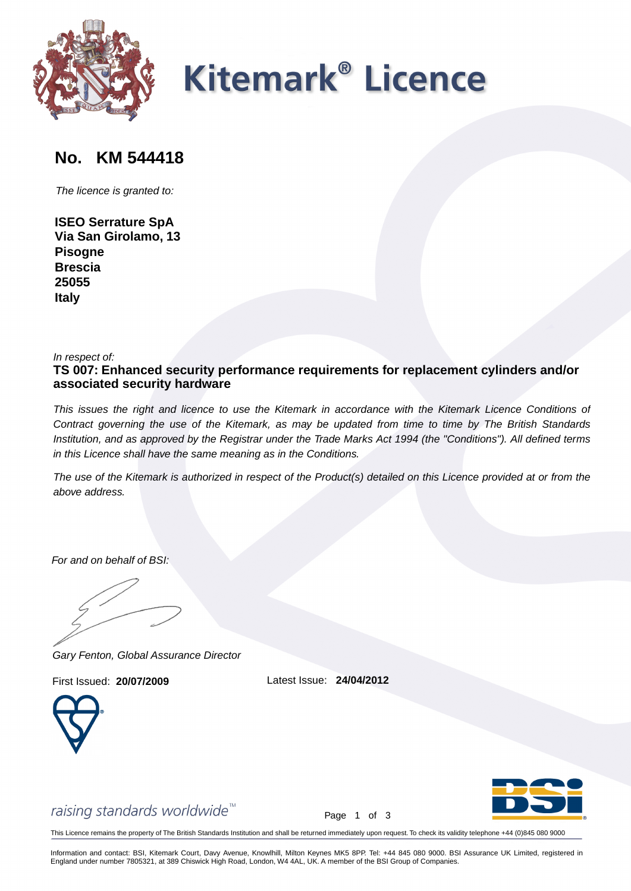

# **Kitemark<sup>®</sup> Licence**

## **No. KM 544418 No. KM 544418**

**ISEO Serrature SpA Via San Girolamo, 13 Pisogne Brescia 25055 Italy**

In respect of:

**TS 007: Enhanced security performance requirements for replacement cylinders and/or associated security hardware**

The licence ris granted to:<br> **Via San Girclette SpA**<br> **Property**<br> **Example 1865**<br> **Example 1866**<br> **Example 2011**<br> **Example 2011**<br> **Example 2011**<br> **Example 2011**<br> **Example 2011**<br> **Example 2011**<br> **Example 2011**<br> **Example 20** This issues the right and licence to use the Kitemark in accordance with the Kitemark Licence Conditions of Contract governing the use of the Kitemark, as may be updated from time to time by The British Standards Institution, and as approved by the Registrar under the Trade Marks Act 1994 (the "Conditions"). All defined terms in this Licence shall have the same meaning as in the Conditions.

The use of the Kitemark is authorized in respect of the Product(s) detailed on this Licence provided at or from the above address.

For and on behalf of BSI:

Gary Fenton, Global Assurance Director

First Issued: **20/07/2009** Latest Issue: **24/04/2012**



Page 1 of 3

This Licence remains the property of The British Standards Institution and shall be returned immediately upon request. To check its validity telephone +44 (0)845 080 9000

Information and contact: BSI, Kitemark Court, Davy Avenue, Knowlhill, Milton Keynes MK5 8PP. Tel: +44 845 080 9000. BSI Assurance UK Limited, registered in England under number 7805321, at 389 Chiswick High Road, London, W4 4AL, UK. A member of the BSI Group of Companies.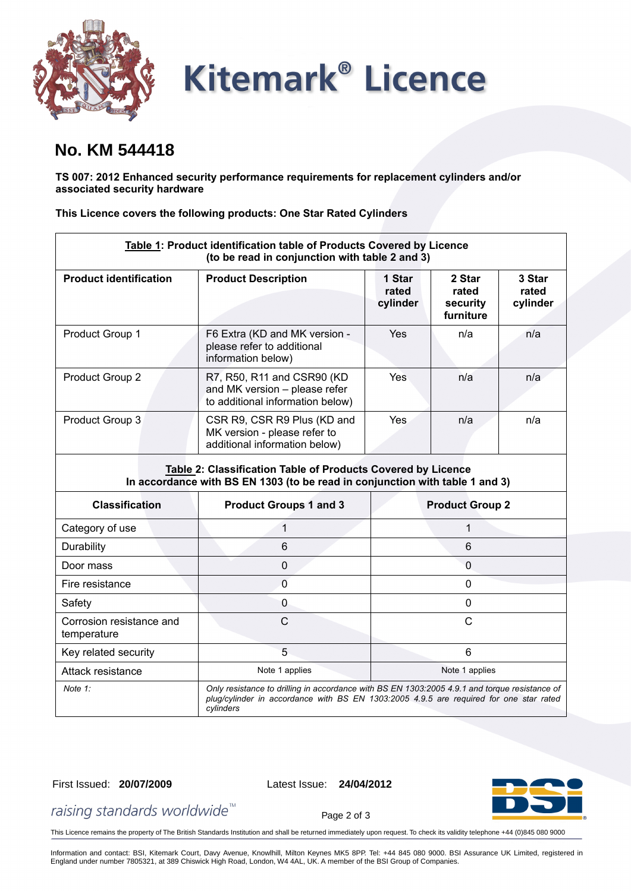

# **Kitemark<sup>®</sup> Licence**

### **No. KM 544418**

**TS 007: 2012 Enhanced security performance requirements for replacement cylinders and/or associated security hardware**

**This Licence covers the following products: One Star Rated Cylinders**

| Table 1: Product identification table of Products Covered by Licence<br>(to be read in conjunction with table 2 and 3)                       |                                                                                                                                                                                                      |                             |                                          |                             |  |
|----------------------------------------------------------------------------------------------------------------------------------------------|------------------------------------------------------------------------------------------------------------------------------------------------------------------------------------------------------|-----------------------------|------------------------------------------|-----------------------------|--|
| <b>Product identification</b>                                                                                                                | <b>Product Description</b>                                                                                                                                                                           | 1 Star<br>rated<br>cylinder | 2 Star<br>rated<br>security<br>furniture | 3 Star<br>rated<br>cylinder |  |
| Product Group 1                                                                                                                              | F6 Extra (KD and MK version -<br>please refer to additional<br>information below)                                                                                                                    | Yes                         | n/a                                      | n/a                         |  |
| Product Group 2                                                                                                                              | R7, R50, R11 and CSR90 (KD<br>and MK version - please refer<br>to additional information below)                                                                                                      | Yes                         | n/a                                      | n/a                         |  |
| Product Group 3                                                                                                                              | CSR R9, CSR R9 Plus (KD and<br>MK version - please refer to<br>additional information below)                                                                                                         | Yes                         | n/a                                      | n/a                         |  |
| Table 2: Classification Table of Products Covered by Licence<br>In accordance with BS EN 1303 (to be read in conjunction with table 1 and 3) |                                                                                                                                                                                                      |                             |                                          |                             |  |
| <b>Classification</b>                                                                                                                        | <b>Product Groups 1 and 3</b>                                                                                                                                                                        | <b>Product Group 2</b>      |                                          |                             |  |
| Category of use                                                                                                                              | 1                                                                                                                                                                                                    | 1                           |                                          |                             |  |
| Durability                                                                                                                                   | 6                                                                                                                                                                                                    | 6                           |                                          |                             |  |
| Door mass                                                                                                                                    | 0                                                                                                                                                                                                    | $\mathbf 0$                 |                                          |                             |  |
| Fire resistance                                                                                                                              | $\overline{0}$                                                                                                                                                                                       | $\mathbf 0$                 |                                          |                             |  |
| Safety                                                                                                                                       | 0                                                                                                                                                                                                    | $\mathbf 0$                 |                                          |                             |  |
| Corrosion resistance and<br>temperature                                                                                                      | C                                                                                                                                                                                                    | $\mathsf{C}$                |                                          |                             |  |
| Key related security                                                                                                                         | 5                                                                                                                                                                                                    | 6                           |                                          |                             |  |
| Attack resistance                                                                                                                            | Note 1 applies                                                                                                                                                                                       | Note 1 applies              |                                          |                             |  |
| Note $1$ :                                                                                                                                   | Only resistance to drilling in accordance with BS EN 1303:2005 4.9.1 and torque resistance of<br>plug/cylinder in accordance with BS EN 1303:2005 4.9.5 are required for one star rated<br>cylinders |                             |                                          |                             |  |

### First Issued: **20/07/2009** Latest Issue: **24/04/2012**

Page 2 of 3



raising standards worldwide<sup>™</sup>

This Licence remains the property of The British Standards Institution and shall be returned immediately upon request. To check its validity telephone +44 (0)845 080 9000

Information and contact: BSI, Kitemark Court, Davy Avenue, Knowlhill, Milton Keynes MK5 8PP. Tel: +44 845 080 9000. BSI Assurance UK Limited, registered in England under number 7805321, at 389 Chiswick High Road, London, W4 4AL, UK. A member of the BSI Group of Companies.